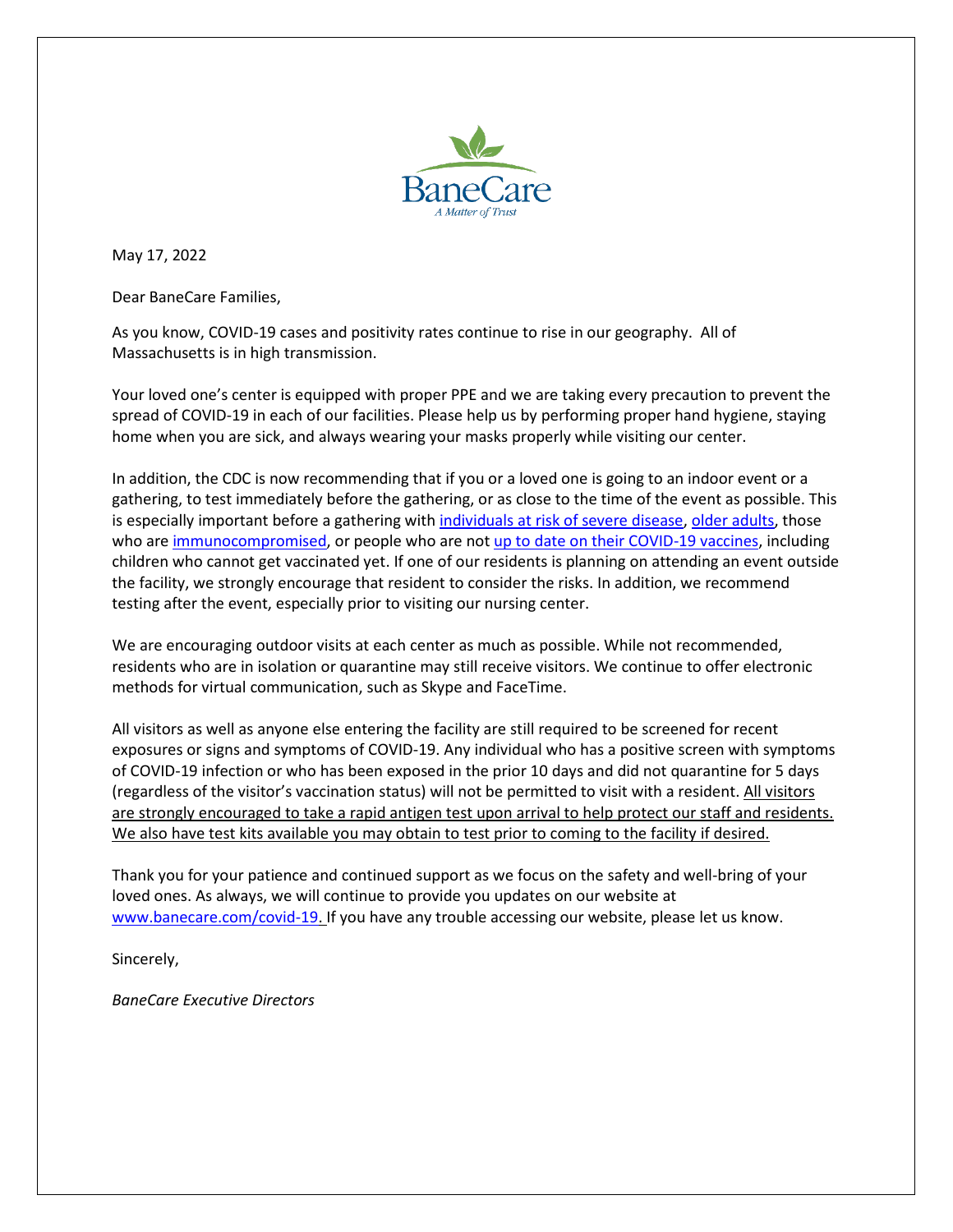

May 17, 2022

Dear BaneCare Families,

As you know, COVID-19 cases and positivity rates continue to rise in our geography. All of Massachusetts is in high transmission.

Your loved one's center is equipped with proper PPE and we are taking every precaution to prevent the spread of COVID-19 in each of our facilities. Please help us by performing proper hand hygiene, staying home when you are sick, and always wearing your masks properly while visiting our center.

In addition, the CDC is now recommending that if you or a loved one is going to an indoor event or a gathering, to test immediately before the gathering, or as close to the time of the event as possible. This is especially important before a gathering wit[h individuals at risk of severe disease,](https://urldefense.proofpoint.com/v2/url?u=https-3A__t.emailupdates.cdc.gov_r_-3Fid-3Dh65540a75-2C16899433-2C1689adc0-26e-3DQUNTVHJhY2tpbmdJRD1VU0NEQ18yMDY3LURNODIxNDYmQUNTVHJhY2tpbmdMYWJlbD1XaHklMjBDaGlsZHJlbiUyMGFuZCUyMFRlZW5zJTIwU2hvdWxkJTIwR2V0JTIwVmFjY2luYXRlZCUyMEFnYWluc3QlMjBDT1ZJRC0xOQ-26s-3D-2Dv6LmGHX-2DZAn4-5FtLf6kBKrh-5FbHB2K7kFCfZSRKuIdOA&d=DwMFaQ&c=euGZstcaTDllvimEN8b7jXrwqOf-v5A_CdpgnVfiiMM&r=GlsOid5RrvA8zTsyduqxI4cm_3vekWtdoiMwimcZwxw&m=Z4sRSNfH8YaAxsITln2tnu2KEyu4gaq2KYmyMJNKl4g&s=Uk_KzaJB2zelrG6q4AhUK_jtV_sDc8XQevgjypIL1mM&e=) [older adults,](https://urldefense.proofpoint.com/v2/url?u=https-3A__t.emailupdates.cdc.gov_r_-3Fid-3Dh65540a75-2C16899433-2C1689adc1-26e-3DQUNTVHJhY2tpbmdJRD1VU0NEQ18yMDY3LURNODIxNDYmQUNTVHJhY2tpbmdMYWJlbD1XaHklMjBDaGlsZHJlbiUyMGFuZCUyMFRlZW5zJTIwU2hvdWxkJTIwR2V0JTIwVmFjY2luYXRlZCUyMEFnYWluc3QlMjBDT1ZJRC0xOQ-26s-3Da1MZDD0qkMlZxPAKEt2SHNXTTtV7BpCKQ7aTynk-5FToE&d=DwMFaQ&c=euGZstcaTDllvimEN8b7jXrwqOf-v5A_CdpgnVfiiMM&r=GlsOid5RrvA8zTsyduqxI4cm_3vekWtdoiMwimcZwxw&m=Z4sRSNfH8YaAxsITln2tnu2KEyu4gaq2KYmyMJNKl4g&s=CZNlfNb0g3S0PmE3_5qzHEF1EENLr-ep2yQbUxfn6LQ&e=) those who are [immunocompromised,](https://urldefense.proofpoint.com/v2/url?u=https-3A__t.emailupdates.cdc.gov_r_-3Fid-3Dh65540a75-2C16899433-2C1689adc2-26e-3DQUNTVHJhY2tpbmdJRD1VU0NEQ18yMDY3LURNODIxNDYmQUNTVHJhY2tpbmdMYWJlbD1XaHklMjBDaGlsZHJlbiUyMGFuZCUyMFRlZW5zJTIwU2hvdWxkJTIwR2V0JTIwVmFjY2luYXRlZCUyMEFnYWluc3QlMjBDT1ZJRC0xOQ-26s-3DFCUDUS6BsLisdpDq7vCNFH2Hlqd1f-5FSnGOP2oUk2a-2DA&d=DwMFaQ&c=euGZstcaTDllvimEN8b7jXrwqOf-v5A_CdpgnVfiiMM&r=GlsOid5RrvA8zTsyduqxI4cm_3vekWtdoiMwimcZwxw&m=Z4sRSNfH8YaAxsITln2tnu2KEyu4gaq2KYmyMJNKl4g&s=f1K71Hm16Ebcp7hflaNdtzUk9NiJ3iIyfBPsdPQkj5A&e=) or people who are not [up to date on their COVID-19 vaccines,](https://urldefense.proofpoint.com/v2/url?u=https-3A__t.emailupdates.cdc.gov_r_-3Fid-3Dh65540a75-2C16899433-2C1689adc3-26e-3DQUNTVHJhY2tpbmdJRD1VU0NEQ18yMDY3LURNODIxNDYmQUNTVHJhY2tpbmdMYWJlbD1XaHklMjBDaGlsZHJlbiUyMGFuZCUyMFRlZW5zJTIwU2hvdWxkJTIwR2V0JTIwVmFjY2luYXRlZCUyMEFnYWluc3QlMjBDT1ZJRC0xOQ-26s-3DNCI5BwvHUzozQWKVlI01zHyAk9NtS-2DX29hzCZue1DFE&d=DwMFaQ&c=euGZstcaTDllvimEN8b7jXrwqOf-v5A_CdpgnVfiiMM&r=GlsOid5RrvA8zTsyduqxI4cm_3vekWtdoiMwimcZwxw&m=Z4sRSNfH8YaAxsITln2tnu2KEyu4gaq2KYmyMJNKl4g&s=ycJvDIffnbnSOj-tltMH10SRFaIupMY8Mai3whSfKKk&e=) including children who cannot get vaccinated yet. If one of our residents is planning on attending an event outside the facility, we strongly encourage that resident to consider the risks. In addition, we recommend testing after the event, especially prior to visiting our nursing center.

We are encouraging outdoor visits at each center as much as possible. While not recommended, residents who are in isolation or quarantine may still receive visitors. We continue to offer electronic methods for virtual communication, such as Skype and FaceTime.

All visitors as well as anyone else entering the facility are still required to be screened for recent exposures or signs and symptoms of COVID-19. Any individual who has a positive screen with symptoms of COVID-19 infection or who has been exposed in the prior 10 days and did not quarantine for 5 days (regardless of the visitor's vaccination status) will not be permitted to visit with a resident. All visitors are strongly encouraged to take a rapid antigen test upon arrival to help protect our staff and residents. We also have test kits available you may obtain to test prior to coming to the facility if desired.

Thank you for your patience and continued support as we focus on the safety and well-bring of your loved ones. As always, we will continue to provide you updates on our website at [www.banecare.com/covid-19.](http://www.banecare.com/covid-19) If you have any trouble accessing our website, please let us know.

Sincerely,

*BaneCare Executive Directors*